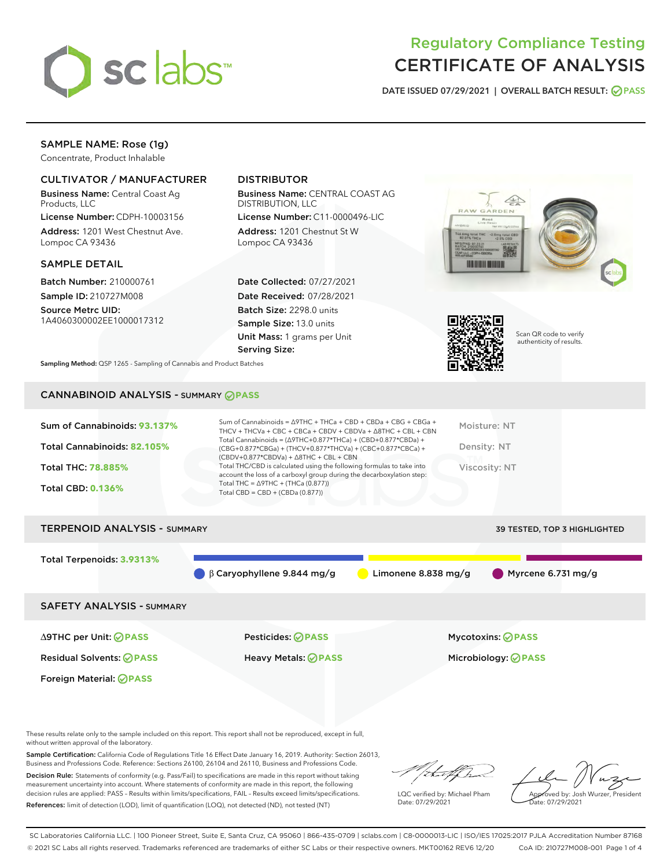

# Regulatory Compliance Testing CERTIFICATE OF ANALYSIS

DATE ISSUED 07/29/2021 | OVERALL BATCH RESULT: @ PASS

### SAMPLE NAME: Rose (1g)

Concentrate, Product Inhalable

#### CULTIVATOR / MANUFACTURER

Business Name: Central Coast Ag Products, LLC

License Number: CDPH-10003156 Address: 1201 West Chestnut Ave. Lompoc CA 93436

#### SAMPLE DETAIL

Batch Number: 210000761 Sample ID: 210727M008 Source Metrc UID:

1A4060300002EE1000017312

#### DISTRIBUTOR

Business Name: CENTRAL COAST AG DISTRIBUTION, LLC

License Number: C11-0000496-LIC Address: 1201 Chestnut St W Lompoc CA 93436

Date Collected: 07/27/2021 Date Received: 07/28/2021 Batch Size: 2298.0 units Sample Size: 13.0 units Unit Mass: 1 grams per Unit Serving Size:





Scan QR code to verify authenticity of results.

Sampling Method: QSP 1265 - Sampling of Cannabis and Product Batches

## CANNABINOID ANALYSIS - SUMMARY **PASS**

| Sum of Cannabinoids: 93.137% | Sum of Cannabinoids = $\triangle$ 9THC + THCa + CBD + CBDa + CBG + CBGa +<br>THCV + THCVa + CBC + CBCa + CBDV + CBDVa + $\land$ 8THC + CBL + CBN                                     | Moisture: NT  |
|------------------------------|--------------------------------------------------------------------------------------------------------------------------------------------------------------------------------------|---------------|
| Total Cannabinoids: 82.105%  | Total Cannabinoids = $(\Delta$ 9THC+0.877*THCa) + (CBD+0.877*CBDa) +<br>(CBG+0.877*CBGa) + (THCV+0.877*THCVa) + (CBC+0.877*CBCa) +<br>$(CBDV+0.877*CBDVa) + \Delta 8THC + CBL + CBN$ | Density: NT   |
| <b>Total THC: 78.885%</b>    | Total THC/CBD is calculated using the following formulas to take into<br>account the loss of a carboxyl group during the decarboxylation step:                                       | Viscosity: NT |
| <b>Total CBD: 0.136%</b>     | Total THC = $\triangle$ 9THC + (THCa (0.877))<br>Total CBD = $CBD + (CBDa (0.877))$                                                                                                  |               |
|                              |                                                                                                                                                                                      |               |
|                              |                                                                                                                                                                                      |               |

# TERPENOID ANALYSIS - SUMMARY 39 TESTED, TOP 3 HIGHLIGHTED Total Terpenoids: **3.9313%** β Caryophyllene 9.844 mg/g Limonene 8.838 mg/g Myrcene 6.731 mg/g SAFETY ANALYSIS - SUMMARY

Foreign Material: **PASS**

∆9THC per Unit: **PASS** Pesticides: **PASS** Mycotoxins: **PASS**

Residual Solvents: **PASS** Heavy Metals: **PASS** Microbiology: **PASS**

These results relate only to the sample included on this report. This report shall not be reproduced, except in full, without written approval of the laboratory.

Sample Certification: California Code of Regulations Title 16 Effect Date January 16, 2019. Authority: Section 26013, Business and Professions Code. Reference: Sections 26100, 26104 and 26110, Business and Professions Code.

Decision Rule: Statements of conformity (e.g. Pass/Fail) to specifications are made in this report without taking measurement uncertainty into account. Where statements of conformity are made in this report, the following decision rules are applied: PASS – Results within limits/specifications, FAIL – Results exceed limits/specifications. References: limit of detection (LOD), limit of quantification (LOQ), not detected (ND), not tested (NT)

LQC verified by: Michael Pham Date: 07/29/2021

Approved by: Josh Wurzer, President ate: 07/29/2021

SC Laboratories California LLC. | 100 Pioneer Street, Suite E, Santa Cruz, CA 95060 | 866-435-0709 | sclabs.com | C8-0000013-LIC | ISO/IES 17025:2017 PJLA Accreditation Number 87168 © 2021 SC Labs all rights reserved. Trademarks referenced are trademarks of either SC Labs or their respective owners. MKT00162 REV6 12/20 CoA ID: 210727M008-001 Page 1 of 4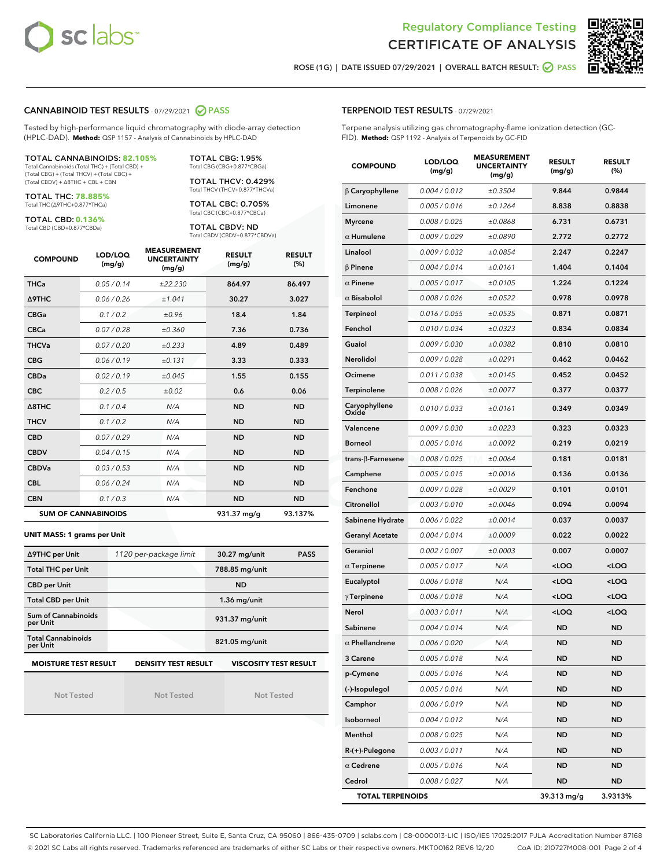



ROSE (1G) | DATE ISSUED 07/29/2021 | OVERALL BATCH RESULT: 2 PASS

#### CANNABINOID TEST RESULTS - 07/29/2021 2 PASS

Tested by high-performance liquid chromatography with diode-array detection (HPLC-DAD). **Method:** QSP 1157 - Analysis of Cannabinoids by HPLC-DAD

TOTAL CANNABINOIDS: **82.105%** Total Cannabinoids (Total THC) + (Total CBD) +

(Total CBG) + (Total THCV) + (Total CBC) + (Total CBDV) + ∆8THC + CBL + CBN

TOTAL THC: **78.885%** Total THC (∆9THC+0.877\*THCa)

TOTAL CBD: **0.136%**

Total CBD (CBD+0.877\*CBDa)

TOTAL CBG: 1.95% Total CBG (CBG+0.877\*CBGa)

TOTAL THCV: 0.429% Total THCV (THCV+0.877\*THCVa)

TOTAL CBC: 0.705% Total CBC (CBC+0.877\*CBCa)

TOTAL CBDV: ND Total CBDV (CBDV+0.877\*CBDVa)

| <b>COMPOUND</b>  | LOD/LOQ<br>(mg/g)          | <b>MEASUREMENT</b><br><b>UNCERTAINTY</b><br>(mg/g) | <b>RESULT</b><br>(mg/g) | <b>RESULT</b><br>(%) |
|------------------|----------------------------|----------------------------------------------------|-------------------------|----------------------|
| <b>THCa</b>      | 0.05/0.14                  | ±22.230                                            | 864.97                  | 86.497               |
| <b>A9THC</b>     | 0.06 / 0.26                | ±1.041                                             | 30.27                   | 3.027                |
| <b>CBGa</b>      | 0.1 / 0.2                  | ±0.96                                              | 18.4                    | 1.84                 |
| <b>CBCa</b>      | 0.07 / 0.28                | ±0.360                                             | 7.36                    | 0.736                |
| <b>THCVa</b>     | 0.07/0.20                  | ±0.233                                             | 4.89                    | 0.489                |
| <b>CBG</b>       | 0.06/0.19                  | ±0.131                                             | 3.33                    | 0.333                |
| <b>CBDa</b>      | 0.02/0.19                  | ±0.045                                             | 1.55                    | 0.155                |
| <b>CBC</b>       | 0.2 / 0.5                  | ±0.02                                              | 0.6                     | 0.06                 |
| $\triangle$ 8THC | 0.1 / 0.4                  | N/A                                                | <b>ND</b>               | <b>ND</b>            |
| <b>THCV</b>      | 0.1 / 0.2                  | N/A                                                | <b>ND</b>               | <b>ND</b>            |
| <b>CBD</b>       | 0.07/0.29                  | N/A                                                | <b>ND</b>               | <b>ND</b>            |
| <b>CBDV</b>      | 0.04/0.15                  | N/A                                                | <b>ND</b>               | <b>ND</b>            |
| <b>CBDVa</b>     | 0.03/0.53                  | N/A                                                | <b>ND</b>               | <b>ND</b>            |
| <b>CBL</b>       | 0.06 / 0.24                | N/A                                                | <b>ND</b>               | <b>ND</b>            |
| <b>CBN</b>       | 0.1/0.3                    | N/A                                                | <b>ND</b>               | <b>ND</b>            |
|                  | <b>SUM OF CANNABINOIDS</b> |                                                    | 931.37 mg/g             | 93.137%              |

#### **UNIT MASS: 1 grams per Unit**

| ∆9THC per Unit                        | 1120 per-package limit                                                                    | 30.27 mg/unit<br><b>PASS</b> |  |  |  |  |
|---------------------------------------|-------------------------------------------------------------------------------------------|------------------------------|--|--|--|--|
| <b>Total THC per Unit</b>             |                                                                                           | 788.85 mg/unit               |  |  |  |  |
| <b>CBD per Unit</b>                   |                                                                                           | <b>ND</b>                    |  |  |  |  |
| <b>Total CBD per Unit</b>             |                                                                                           | $1.36$ mg/unit               |  |  |  |  |
| Sum of Cannabinoids<br>per Unit       |                                                                                           | 931.37 mg/unit               |  |  |  |  |
| <b>Total Cannabinoids</b><br>per Unit |                                                                                           | 821.05 mg/unit               |  |  |  |  |
|                                       | <b>MOISTURE TEST RESULT</b><br><b>DENSITY TEST RESULT</b><br><b>VISCOSITY TEST RESULT</b> |                              |  |  |  |  |

Not Tested

Not Tested

Not Tested

#### TERPENOID TEST RESULTS - 07/29/2021

Terpene analysis utilizing gas chromatography-flame ionization detection (GC-FID). **Method:** QSP 1192 - Analysis of Terpenoids by GC-FID

| <b>COMPOUND</b>         | LOD/LOQ<br>(mg/g) | <b>MEASUREMENT</b><br><b>UNCERTAINTY</b><br>(mg/g) | <b>RESULT</b><br>(mg/g)                         | <b>RESULT</b><br>(%) |
|-------------------------|-------------------|----------------------------------------------------|-------------------------------------------------|----------------------|
| $\beta$ Caryophyllene   | 0.004 / 0.012     | ±0.3504                                            | 9.844                                           | 0.9844               |
| Limonene                | 0.005 / 0.016     | ±0.1264                                            | 8.838                                           | 0.8838               |
| <b>Myrcene</b>          | 0.008 / 0.025     | ±0.0868                                            | 6.731                                           | 0.6731               |
| $\alpha$ Humulene       | 0.009 / 0.029     | ±0.0890                                            | 2.772                                           | 0.2772               |
| Linalool                | 0.009 / 0.032     | ±0.0854                                            | 2.247                                           | 0.2247               |
| $\beta$ Pinene          | 0.004 / 0.014     | ±0.0161                                            | 1.404                                           | 0.1404               |
| $\alpha$ Pinene         | 0.005 / 0.017     | ±0.0105                                            | 1.224                                           | 0.1224               |
| $\alpha$ Bisabolol      | 0.008 / 0.026     | ±0.0522                                            | 0.978                                           | 0.0978               |
| Terpineol               | 0.016 / 0.055     | ±0.0535                                            | 0.871                                           | 0.0871               |
| Fenchol                 | 0.010 / 0.034     | ±0.0323                                            | 0.834                                           | 0.0834               |
| Guaiol                  | 0.009 / 0.030     | ±0.0382                                            | 0.810                                           | 0.0810               |
| Nerolidol               | 0.009 / 0.028     | ±0.0291                                            | 0.462                                           | 0.0462               |
| Ocimene                 | 0.011 / 0.038     | ±0.0145                                            | 0.452                                           | 0.0452               |
| Terpinolene             | 0.008 / 0.026     | ±0.0077                                            | 0.377                                           | 0.0377               |
| Caryophyllene<br>Oxide  | 0.010 / 0.033     | ±0.0161                                            | 0.349                                           | 0.0349               |
| Valencene               | 0.009 / 0.030     | ±0.0223                                            | 0.323                                           | 0.0323               |
| <b>Borneol</b>          | 0.005 / 0.016     | ±0.0092                                            | 0.219                                           | 0.0219               |
| trans-ß-Farnesene       | 0.008 / 0.025     | ±0.0064                                            | 0.181                                           | 0.0181               |
| Camphene                | 0.005 / 0.015     | ±0.0016                                            | 0.136                                           | 0.0136               |
| Fenchone                | 0.009 / 0.028     | ±0.0029                                            | 0.101                                           | 0.0101               |
| Citronellol             | 0.003 / 0.010     | ±0.0046                                            | 0.094                                           | 0.0094               |
| Sabinene Hydrate        | 0.006 / 0.022     | ±0.0014                                            | 0.037                                           | 0.0037               |
| Geranyl Acetate         | 0.004 / 0.014     | ±0.0009                                            | 0.022                                           | 0.0022               |
| Geraniol                | 0.002 / 0.007     | ±0.0003                                            | 0.007                                           | 0.0007               |
| $\alpha$ Terpinene      | 0.005 / 0.017     | N/A                                                | <loq< th=""><th><loq< th=""></loq<></th></loq<> | <loq< th=""></loq<>  |
| Eucalyptol              | 0.006 / 0.018     | N/A                                                | <loq< th=""><th><loq< th=""></loq<></th></loq<> | <loq< th=""></loq<>  |
| $\gamma$ Terpinene      | 0.006 / 0.018     | N/A                                                | <loq< th=""><th><loq< th=""></loq<></th></loq<> | <loq< th=""></loq<>  |
| Nerol                   | 0.003 / 0.011     | N/A                                                | <loq< th=""><th><loq< th=""></loq<></th></loq<> | <loq< th=""></loq<>  |
| Sabinene                | 0.004 / 0.014     | N/A                                                | <b>ND</b>                                       | ND                   |
| $\alpha$ Phellandrene   | 0.006 / 0.020     | N/A                                                | <b>ND</b>                                       | ND                   |
| 3 Carene                | 0.005 / 0.018     | N/A                                                | ND                                              | ND                   |
| p-Cymene                | 0.005 / 0.016     | N/A                                                | ND                                              | ND                   |
| (-)-Isopulegol          | 0.005 / 0.016     | N/A                                                | <b>ND</b>                                       | <b>ND</b>            |
| Camphor                 | 0.006 / 0.019     | N/A                                                | ND                                              | ND                   |
| Isoborneol              | 0.004 / 0.012     | N/A                                                | ND                                              | ND                   |
| Menthol                 | 0.008 / 0.025     | N/A                                                | <b>ND</b>                                       | ND                   |
| $R-(+)$ -Pulegone       | 0.003 / 0.011     | N/A                                                | ND                                              | ND                   |
| $\alpha$ Cedrene        | 0.005 / 0.016     | N/A                                                | ND                                              | ND                   |
| Cedrol                  | 0.008 / 0.027     | N/A                                                | <b>ND</b>                                       | ND                   |
| <b>TOTAL TERPENOIDS</b> |                   |                                                    | 39.313 mg/g                                     | 3.9313%              |

SC Laboratories California LLC. | 100 Pioneer Street, Suite E, Santa Cruz, CA 95060 | 866-435-0709 | sclabs.com | C8-0000013-LIC | ISO/IES 17025:2017 PJLA Accreditation Number 87168 © 2021 SC Labs all rights reserved. Trademarks referenced are trademarks of either SC Labs or their respective owners. MKT00162 REV6 12/20 CoA ID: 210727M008-001 Page 2 of 4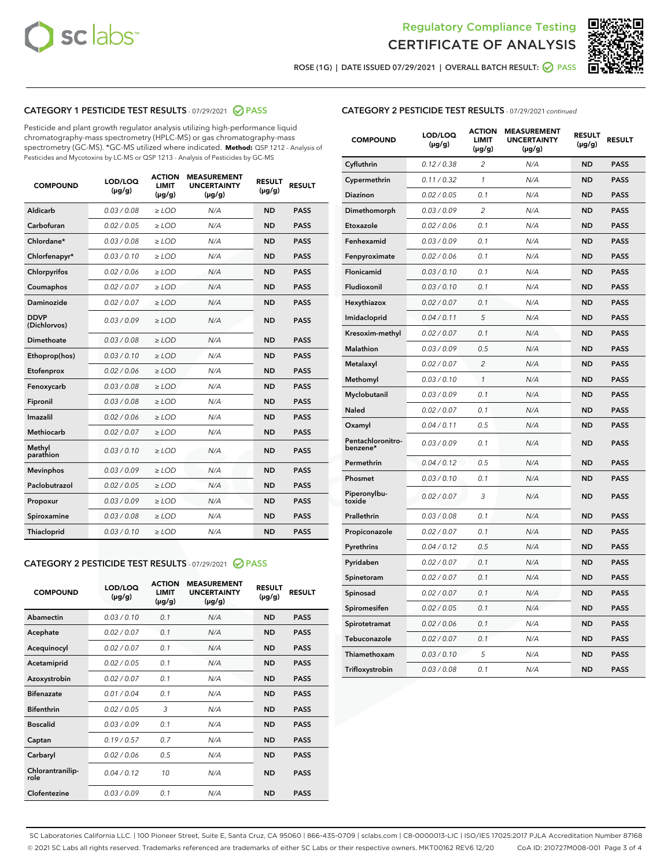



ROSE (1G) | DATE ISSUED 07/29/2021 | OVERALL BATCH RESULT:  $\bigcirc$  PASS

#### CATEGORY 1 PESTICIDE TEST RESULTS - 07/29/2021 2 PASS

Pesticide and plant growth regulator analysis utilizing high-performance liquid chromatography-mass spectrometry (HPLC-MS) or gas chromatography-mass spectrometry (GC-MS). \*GC-MS utilized where indicated. **Method:** QSP 1212 - Analysis of Pesticides and Mycotoxins by LC-MS or QSP 1213 - Analysis of Pesticides by GC-MS

| <b>COMPOUND</b>             | LOD/LOQ<br>$(\mu g/g)$ | <b>ACTION</b><br><b>LIMIT</b><br>$(\mu g/g)$ | <b>MEASUREMENT</b><br><b>UNCERTAINTY</b><br>$(\mu g/g)$ | <b>RESULT</b><br>$(\mu g/g)$ | <b>RESULT</b> |
|-----------------------------|------------------------|----------------------------------------------|---------------------------------------------------------|------------------------------|---------------|
| Aldicarb                    | 0.03 / 0.08            | $\ge$ LOD                                    | N/A                                                     | <b>ND</b>                    | <b>PASS</b>   |
| Carbofuran                  | 0.02 / 0.05            | $\ge$ LOD                                    | N/A                                                     | <b>ND</b>                    | <b>PASS</b>   |
| Chlordane*                  | 0.03 / 0.08            | $\ge$ LOD                                    | N/A                                                     | <b>ND</b>                    | <b>PASS</b>   |
| Chlorfenapyr*               | 0.03/0.10              | $\ge$ LOD                                    | N/A                                                     | <b>ND</b>                    | <b>PASS</b>   |
| Chlorpyrifos                | 0.02 / 0.06            | $\ge$ LOD                                    | N/A                                                     | <b>ND</b>                    | <b>PASS</b>   |
| Coumaphos                   | 0.02 / 0.07            | $\ge$ LOD                                    | N/A                                                     | <b>ND</b>                    | <b>PASS</b>   |
| Daminozide                  | 0.02 / 0.07            | $\ge$ LOD                                    | N/A                                                     | <b>ND</b>                    | <b>PASS</b>   |
| <b>DDVP</b><br>(Dichlorvos) | 0.03/0.09              | $>$ LOD                                      | N/A                                                     | <b>ND</b>                    | <b>PASS</b>   |
| Dimethoate                  | 0.03 / 0.08            | $\ge$ LOD                                    | N/A                                                     | <b>ND</b>                    | <b>PASS</b>   |
| Ethoprop(hos)               | 0.03/0.10              | $>$ LOD                                      | N/A                                                     | <b>ND</b>                    | <b>PASS</b>   |
| Etofenprox                  | 0.02 / 0.06            | $\ge$ LOD                                    | N/A                                                     | <b>ND</b>                    | <b>PASS</b>   |
| Fenoxycarb                  | 0.03 / 0.08            | $\ge$ LOD                                    | N/A                                                     | <b>ND</b>                    | <b>PASS</b>   |
| Fipronil                    | 0.03/0.08              | $\ge$ LOD                                    | N/A                                                     | <b>ND</b>                    | <b>PASS</b>   |
| Imazalil                    | 0.02 / 0.06            | $\geq$ LOD                                   | N/A                                                     | <b>ND</b>                    | <b>PASS</b>   |
| <b>Methiocarb</b>           | 0.02 / 0.07            | $\ge$ LOD                                    | N/A                                                     | <b>ND</b>                    | <b>PASS</b>   |
| Methyl<br>parathion         | 0.03/0.10              | $\ge$ LOD                                    | N/A                                                     | <b>ND</b>                    | <b>PASS</b>   |
| <b>Mevinphos</b>            | 0.03/0.09              | $\ge$ LOD                                    | N/A                                                     | <b>ND</b>                    | <b>PASS</b>   |
| Paclobutrazol               | 0.02 / 0.05            | $>$ LOD                                      | N/A                                                     | <b>ND</b>                    | <b>PASS</b>   |
| Propoxur                    | 0.03 / 0.09            | $\ge$ LOD                                    | N/A                                                     | <b>ND</b>                    | <b>PASS</b>   |
| Spiroxamine                 | 0.03 / 0.08            | $\ge$ LOD                                    | N/A                                                     | <b>ND</b>                    | <b>PASS</b>   |
| Thiacloprid                 | 0.03/0.10              | $\ge$ LOD                                    | N/A                                                     | <b>ND</b>                    | <b>PASS</b>   |

#### CATEGORY 2 PESTICIDE TEST RESULTS - 07/29/2021 @ PASS

| <b>COMPOUND</b>          | LOD/LOO<br>$(\mu g/g)$ | <b>ACTION</b><br>LIMIT<br>$(\mu g/g)$ | <b>MEASUREMENT</b><br><b>UNCERTAINTY</b><br>$(\mu g/g)$ | <b>RESULT</b><br>$(\mu g/g)$ | <b>RESULT</b> |  |
|--------------------------|------------------------|---------------------------------------|---------------------------------------------------------|------------------------------|---------------|--|
| Abamectin                | 0.03/0.10              | 0.1                                   | N/A                                                     | <b>ND</b>                    | <b>PASS</b>   |  |
| Acephate                 | 0.02/0.07              | 0.1                                   | N/A                                                     | <b>ND</b>                    | <b>PASS</b>   |  |
| Acequinocyl              | 0.02/0.07              | 0.1                                   | N/A                                                     | <b>ND</b>                    | <b>PASS</b>   |  |
| Acetamiprid              | 0.02 / 0.05            | 0.1                                   | N/A                                                     | <b>ND</b>                    | <b>PASS</b>   |  |
| Azoxystrobin             | 0.02/0.07              | 0.1                                   | N/A                                                     | <b>ND</b>                    | <b>PASS</b>   |  |
| <b>Bifenazate</b>        | 0.01 / 0.04            | 0.1                                   | N/A                                                     | <b>ND</b>                    | <b>PASS</b>   |  |
| <b>Bifenthrin</b>        | 0.02 / 0.05            | 3                                     | N/A                                                     | <b>ND</b>                    | <b>PASS</b>   |  |
| <b>Boscalid</b>          | 0.03/0.09              | 0.1                                   | N/A                                                     | <b>ND</b>                    | <b>PASS</b>   |  |
| Captan                   | 0.19/0.57              | 0.7                                   | N/A                                                     | <b>ND</b>                    | <b>PASS</b>   |  |
| Carbaryl                 | 0.02/0.06              | 0.5                                   | N/A                                                     | <b>ND</b>                    | <b>PASS</b>   |  |
| Chlorantranilip-<br>role | 0.04/0.12              | 10                                    | N/A                                                     | <b>ND</b>                    | <b>PASS</b>   |  |
| Clofentezine             | 0.03/0.09              | 0.1                                   | N/A                                                     | <b>ND</b>                    | <b>PASS</b>   |  |

| <b>CATEGORY 2 PESTICIDE TEST RESULTS</b> - 07/29/2021 continued |  |  |
|-----------------------------------------------------------------|--|--|
|                                                                 |  |  |

| <b>COMPOUND</b>               | LOD/LOQ<br>(µg/g) | <b>ACTION</b><br>LIMIT<br>$(\mu g/g)$ | <b>MEASUREMENT</b><br><b>UNCERTAINTY</b><br>$(\mu g/g)$ | <b>RESULT</b><br>(µg/g) | <b>RESULT</b> |
|-------------------------------|-------------------|---------------------------------------|---------------------------------------------------------|-------------------------|---------------|
| Cyfluthrin                    | 0.12 / 0.38       | $\overline{2}$                        | N/A                                                     | <b>ND</b>               | <b>PASS</b>   |
| Cypermethrin                  | 0.11 / 0.32       | $\mathcal{I}$                         | N/A                                                     | <b>ND</b>               | <b>PASS</b>   |
| Diazinon                      | 0.02 / 0.05       | 0.1                                   | N/A                                                     | <b>ND</b>               | <b>PASS</b>   |
| Dimethomorph                  | 0.03 / 0.09       | 2                                     | N/A                                                     | <b>ND</b>               | <b>PASS</b>   |
| Etoxazole                     | 0.02 / 0.06       | 0.1                                   | N/A                                                     | <b>ND</b>               | <b>PASS</b>   |
| Fenhexamid                    | 0.03 / 0.09       | 0.1                                   | N/A                                                     | <b>ND</b>               | <b>PASS</b>   |
| Fenpyroximate                 | 0.02 / 0.06       | 0.1                                   | N/A                                                     | <b>ND</b>               | <b>PASS</b>   |
| Flonicamid                    | 0.03/0.10         | 0.1                                   | N/A                                                     | <b>ND</b>               | <b>PASS</b>   |
| Fludioxonil                   | 0.03 / 0.10       | 0.1                                   | N/A                                                     | <b>ND</b>               | <b>PASS</b>   |
| Hexythiazox                   | 0.02 / 0.07       | 0.1                                   | N/A                                                     | <b>ND</b>               | <b>PASS</b>   |
| Imidacloprid                  | 0.04 / 0.11       | 5                                     | N/A                                                     | <b>ND</b>               | <b>PASS</b>   |
| Kresoxim-methyl               | 0.02 / 0.07       | 0.1                                   | N/A                                                     | <b>ND</b>               | <b>PASS</b>   |
| Malathion                     | 0.03 / 0.09       | 0.5                                   | N/A                                                     | <b>ND</b>               | <b>PASS</b>   |
| Metalaxyl                     | 0.02 / 0.07       | $\overline{2}$                        | N/A                                                     | <b>ND</b>               | <b>PASS</b>   |
| Methomyl                      | 0.03 / 0.10       | 1                                     | N/A                                                     | <b>ND</b>               | <b>PASS</b>   |
| Myclobutanil                  | 0.03 / 0.09       | 0.1                                   | N/A                                                     | <b>ND</b>               | <b>PASS</b>   |
| <b>Naled</b>                  | 0.02 / 0.07       | 0.1                                   | N/A                                                     | <b>ND</b>               | <b>PASS</b>   |
| Oxamyl                        | 0.04 / 0.11       | 0.5                                   | N/A                                                     | <b>ND</b>               | <b>PASS</b>   |
| Pentachloronitro-<br>benzene* | 0.03 / 0.09       | 0.1                                   | N/A                                                     | <b>ND</b>               | <b>PASS</b>   |
| Permethrin                    | 0.04/0.12         | 0.5                                   | N/A                                                     | <b>ND</b>               | <b>PASS</b>   |
| Phosmet                       | 0.03 / 0.10       | 0.1                                   | N/A                                                     | <b>ND</b>               | <b>PASS</b>   |
| Piperonylbu-<br>toxide        | 0.02 / 0.07       | 3                                     | N/A                                                     | <b>ND</b>               | <b>PASS</b>   |
| Prallethrin                   | 0.03 / 0.08       | 0.1                                   | N/A                                                     | <b>ND</b>               | <b>PASS</b>   |
| Propiconazole                 | 0.02 / 0.07       | 0.1                                   | N/A                                                     | <b>ND</b>               | <b>PASS</b>   |
| Pyrethrins                    | 0.04 / 0.12       | 0.5                                   | N/A                                                     | <b>ND</b>               | <b>PASS</b>   |
| Pyridaben                     | 0.02 / 0.07       | 0.1                                   | N/A                                                     | <b>ND</b>               | <b>PASS</b>   |
| Spinetoram                    | 0.02 / 0.07       | 0.1                                   | N/A                                                     | ND                      | <b>PASS</b>   |
| Spinosad                      | 0.02 / 0.07       | 0.1                                   | N/A                                                     | <b>ND</b>               | <b>PASS</b>   |
| Spiromesifen                  | 0.02 / 0.05       | 0.1                                   | N/A                                                     | <b>ND</b>               | <b>PASS</b>   |
| Spirotetramat                 | 0.02 / 0.06       | 0.1                                   | N/A                                                     | <b>ND</b>               | <b>PASS</b>   |
| Tebuconazole                  | 0.02 / 0.07       | 0.1                                   | N/A                                                     | <b>ND</b>               | <b>PASS</b>   |
| Thiamethoxam                  | 0.03 / 0.10       | 5                                     | N/A                                                     | <b>ND</b>               | <b>PASS</b>   |
| Trifloxystrobin               | 0.03 / 0.08       | 0.1                                   | N/A                                                     | <b>ND</b>               | <b>PASS</b>   |

SC Laboratories California LLC. | 100 Pioneer Street, Suite E, Santa Cruz, CA 95060 | 866-435-0709 | sclabs.com | C8-0000013-LIC | ISO/IES 17025:2017 PJLA Accreditation Number 87168 © 2021 SC Labs all rights reserved. Trademarks referenced are trademarks of either SC Labs or their respective owners. MKT00162 REV6 12/20 CoA ID: 210727M008-001 Page 3 of 4